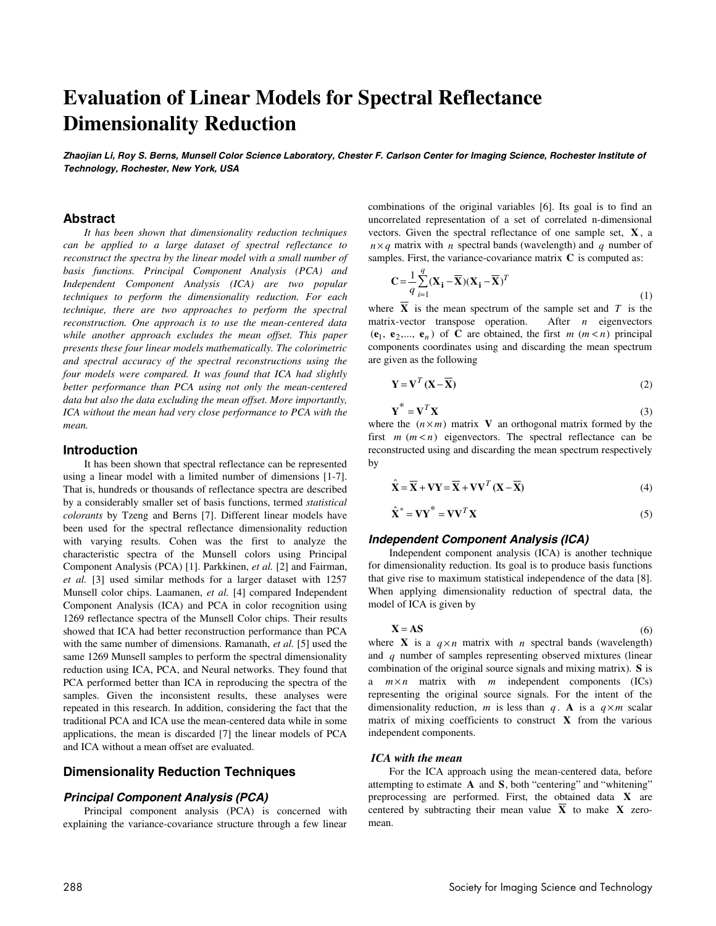# **Evaluation of Linear Models for Spectral Reflectance Dimensionality Reduction**

**Zhaojian Li, Roy S. Berns, Munsell Color Science Laboratory, Chester F. Carlson Center for Imaging Science, Rochester Institute of Technology, Rochester, New York, USA** 

# **Abstract**

*It has been shown that dimensionality reduction techniques can be applied to a large dataset of spectral reflectance to reconstruct the spectra by the linear model with a small number of basis functions. Principal Component Analysis (PCA) and Independent Component Analysis (ICA) are two popular techniques to perform the dimensionality reduction. For each technique, there are two approaches to perform the spectral reconstruction. One approach is to use the mean-centered data while another approach excludes the mean offset. This paper presents these four linear models mathematically. The colorimetric and spectral accuracy of the spectral reconstructions using the four models were compared. It was found that ICA had slightly better performance than PCA using not only the mean-centered data but also the data excluding the mean offset. More importantly, ICA without the mean had very close performance to PCA with the mean.* 

#### **Introduction**

It has been shown that spectral reflectance can be represented using a linear model with a limited number of dimensions [1-7]. That is, hundreds or thousands of reflectance spectra are described by a considerably smaller set of basis functions, termed *statistical colorants* by Tzeng and Berns [7]. Different linear models have been used for the spectral reflectance dimensionality reduction with varying results. Cohen was the first to analyze the characteristic spectra of the Munsell colors using Principal Component Analysis (PCA) [1]. Parkkinen, *et al.* [2] and Fairman, *et al.* [3] used similar methods for a larger dataset with 1257 Munsell color chips. Laamanen, *et al.* [4] compared Independent Component Analysis (ICA) and PCA in color recognition using 1269 reflectance spectra of the Munsell Color chips. Their results showed that ICA had better reconstruction performance than PCA with the same number of dimensions. Ramanath, *et al.* [5] used the same 1269 Munsell samples to perform the spectral dimensionality reduction using ICA, PCA, and Neural networks. They found that PCA performed better than ICA in reproducing the spectra of the samples. Given the inconsistent results, these analyses were repeated in this research. In addition, considering the fact that the traditional PCA and ICA use the mean-centered data while in some applications, the mean is discarded [7] the linear models of PCA and ICA without a mean offset are evaluated.

# **Dimensionality Reduction Techniques**

# **Principal Component Analysis (PCA)**

Principal component analysis (PCA) is concerned with explaining the variance-covariance structure through a few linear combinations of the original variables [6]. Its goal is to find an uncorrelated representation of a set of correlated n-dimensional vectors. Given the spectral reflectance of one sample set, **X** , a  $n \times q$  matrix with *n* spectral bands (wavelength) and *q* number of samples. First, the variance-covariance matrix **C** is computed as:

$$
\mathbf{C} = \frac{1}{q} \sum_{i=1}^{q} (\mathbf{X}_i - \overline{\mathbf{X}})(\mathbf{X}_i - \overline{\mathbf{X}})^T
$$
\n<sup>(1)</sup>

where  $\overline{X}$  is the mean spectrum of the sample set and  $T$  is the matrix-vector transpose operation. After *n* eigenvectors  $(\mathbf{e}_1, \mathbf{e}_2, \dots, \mathbf{e}_n)$  of **C** are obtained, the first *m* (*m* < *n*) principal components coordinates using and discarding the mean spectrum are given as the following

$$
\mathbf{Y} = \mathbf{V}^T (\mathbf{X} - \overline{\mathbf{X}}) \tag{2}
$$

$$
\mathbf{Y}^* = \mathbf{V}^T \mathbf{X} \tag{3}
$$

where the  $(n \times m)$  matrix **V** an orthogonal matrix formed by the first  $m$   $(m < n)$  eigenvectors. The spectral reflectance can be reconstructed using and discarding the mean spectrum respectively by

$$
\hat{\mathbf{X}} = \overline{\mathbf{X}} + \mathbf{V}\mathbf{Y} = \overline{\mathbf{X}} + \mathbf{V}\mathbf{V}^T (\mathbf{X} - \overline{\mathbf{X}})
$$
(4)

$$
\hat{\mathbf{X}}^* = \mathbf{V}\mathbf{Y}^* = \mathbf{V}\mathbf{V}^T\mathbf{X}
$$
 (5)

#### **Independent Component Analysis (ICA)**

Independent component analysis (ICA) is another technique for dimensionality reduction. Its goal is to produce basis functions that give rise to maximum statistical independence of the data [8]. When applying dimensionality reduction of spectral data, the model of ICA is given by

$$
X = AS \tag{6}
$$

where **X** is a  $q \times n$  matrix with *n* spectral bands (wavelength) and *q* number of samples representing observed mixtures (linear combination of the original source signals and mixing matrix). **S** is a  $m \times n$  matrix with  $m$  independent components (ICs) representing the original source signals. For the intent of the dimensionality reduction, *m* is less than *q*. **A** is a  $q \times m$  scalar matrix of mixing coefficients to construct **X** from the various independent components.

#### *ICA with the mean*

For the ICA approach using the mean-centered data, before attempting to estimate **A** and **S**, both "centering" and "whitening" preprocessing are performed. First, the obtained data **X** are centered by subtracting their mean value  $\overline{X}$  to make  $X$  zeromean.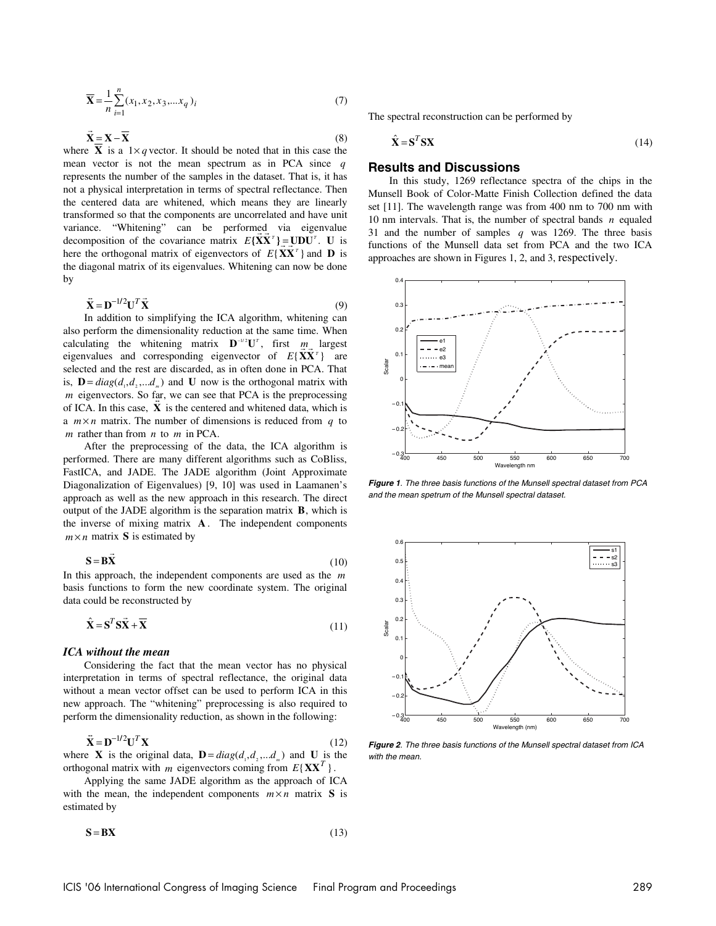$$
\overline{\mathbf{X}} = \frac{1}{n} \sum_{i=1}^{n} (x_1, x_2, x_3, \dots, x_q)_i
$$
 (7)

$$
\vec{\mathbf{X}} = \mathbf{X} - \overline{\mathbf{X}} \tag{8}
$$

where  $\overline{X} = X - X$  (8)<br>where  $\overline{X}$  is a 1×*q* vector. It should be noted that in this case the mean vector is not the mean spectrum as in PCA since *q* represents the number of the samples in the dataset. That is, it has not a physical interpretation in terms of spectral reflectance. Then the centered data are whitened, which means they are linearly transformed so that the components are uncorrelated and have unit variance. "Whitening" can be performed via eigenvalue decomposition of the covariance matrix  $E\{\mathbf{X}\mathbf{X}^T\} = \mathbf{U}\mathbf{D}\mathbf{U}^T$ . **U** is here the orthogonal matrix of eigenvectors of  $E{\{XX^T\}}$  and **D** is the diagonal matrix of its eigenvalues. Whitening can now be done by

$$
\ddot{\mathbf{X}} = \mathbf{D}^{-1/2} \mathbf{U}^T \dot{\mathbf{X}} \tag{9}
$$

 $\mathbf{A} = \mathbf{D}$   $\mathbf{U}$   $\mathbf{A}$  (9)<br>In addition to simplifying the ICA algorithm, whitening can also perform the dimensionality reduction at the same time. When calculating the whitening matrix  $\mathbf{D}^{-1/2}\mathbf{U}^T$ , first *m* largest eigenvalues and corresponding eigenvector of  $E{\{\mathbf{X}\mathbf{X}^T\}}$  are selected and the rest are discarded, as in often done in PCA. That is,  $\mathbf{D} = diag(d_1, d_2, \dots, d_n)$  and **U** now is the orthogonal matrix with *m* eigenvectors. So far, we can see that PCA is the preprocessing *M* eigenvectors. So tal, we can see that  $TCA$  is the preprocessing of ICA. In this case,  $\tilde{\mathbf{X}}$  is the centered and whitened data, which is a  $m \times n$  matrix. The number of dimensions is reduced from *q* to *m* rather than from *n* to *m* in PCA.

After the preprocessing of the data, the ICA algorithm is performed. There are many different algorithms such as CoBliss, FastICA, and JADE. The JADE algorithm (Joint Approximate Diagonalization of Eigenvalues) [9, 10] was used in Laamanen's approach as well as the new approach in this research. The direct output of the JADE algorithm is the separation matrix **B**, which is the inverse of mixing matrix **A** . The independent components  $m \times n$  matrix **S** is estimated by

$$
\mathbf{S} = \mathbf{B}\vec{\mathbf{X}}\tag{10}
$$

In this approach, the independent components are used as the *m* basis functions to form the new coordinate system. The original data could be reconstructed by

$$
\hat{\mathbf{X}} = \mathbf{S}^T \mathbf{S} \vec{\mathbf{X}} + \overline{\mathbf{X}} \tag{11}
$$

#### *ICA without the mean*

Considering the fact that the mean vector has no physical interpretation in terms of spectral reflectance, the original data without a mean vector offset can be used to perform ICA in this new approach. The "whitening" preprocessing is also required to perform the dimensionality reduction, as shown in the following:

$$
\ddot{\mathbf{X}} = \mathbf{D}^{-1/2} \mathbf{U}^T \mathbf{X} \tag{12}
$$

where **X** is the original data, **D** =  $diag(d_1, d_2, ... d_m)$  and **U** is the orthogonal matrix with *m* eigenvectors coming from  $E{XX<sup>T</sup>}$ .

Applying the same JADE algorithm as the approach of ICA with the mean, the independent components  $m \times n$  matrix **S** is estimated by

$$
S = BX \tag{13}
$$

The spectral reconstruction can be performed by

$$
\hat{\mathbf{X}} = \mathbf{S}^T \mathbf{S} \mathbf{X} \tag{14}
$$

## **Results and Discussions**

In this study, 1269 reflectance spectra of the chips in the Munsell Book of Color-Matte Finish Collection defined the data set [11]. The wavelength range was from 400 nm to 700 nm with 10 nm intervals. That is, the number of spectral bands *n* equaled 31 and the number of samples *q* was 1269. The three basis functions of the Munsell data set from PCA and the two ICA approaches are shown in Figures 1, 2, and 3, respectively.



**Figure 1**. The three basis functions of the Munsell spectral dataset from PCA and the mean spetrum of the Munsell spectral dataset.



**Figure 2**. The three basis functions of the Munsell spectral dataset from ICA with the mean.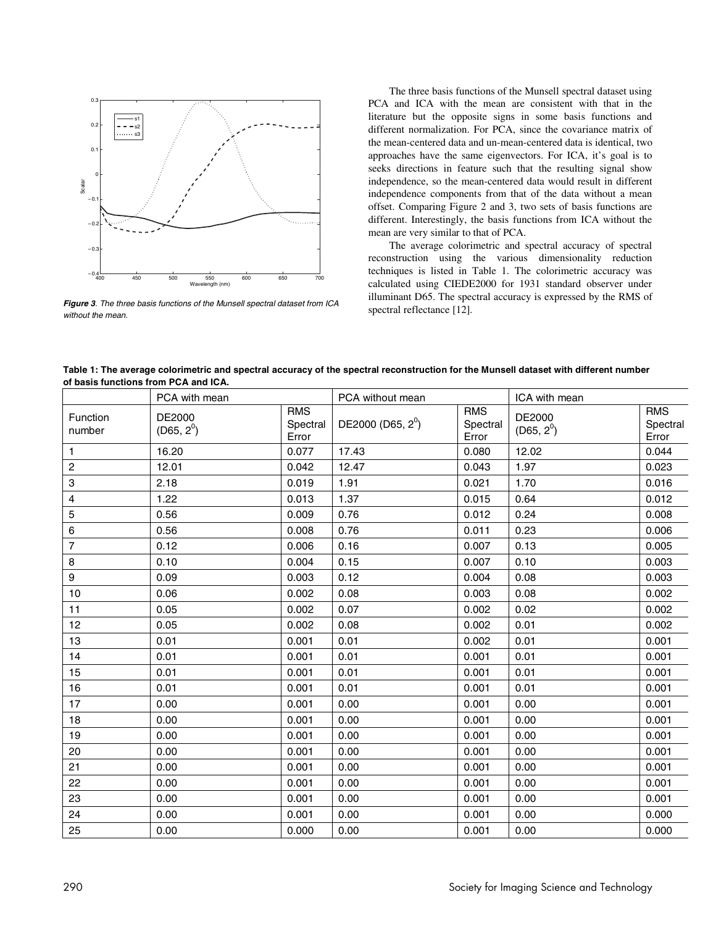

**Figure 3**. The three basis functions of the Munsell spectral dataset from ICA without the mean.

The three basis functions of the Munsell spectral dataset using PCA and ICA with the mean are consistent with that in the literature but the opposite signs in some basis functions and different normalization. For PCA, since the covariance matrix of the mean-centered data and un-mean-centered data is identical, two approaches have the same eigenvectors. For ICA, it's goal is to seeks directions in feature such that the resulting signal show independence, so the mean-centered data would result in different independence components from that of the data without a mean offset. Comparing Figure 2 and 3, two sets of basis functions are different. Interestingly, the basis functions from ICA without the mean are very similar to that of PCA.

The average colorimetric and spectral accuracy of spectral reconstruction using the various dimensionality reduction techniques is listed in Table 1. The colorimetric accuracy was calculated using CIEDE2000 for 1931 standard observer under illuminant D65. The spectral accuracy is expressed by the RMS of spectral reflectance [12].

| Table 1: The average colorimetric and spectral accuracy of the spectral reconstruction for the Munsell dataset with different number |
|--------------------------------------------------------------------------------------------------------------------------------------|
| of basis functions from PCA and ICA.                                                                                                 |

|                    | PCA with mean          |                                 | PCA without mean              |                                 | ICA with mean          |                                 |
|--------------------|------------------------|---------------------------------|-------------------------------|---------------------------------|------------------------|---------------------------------|
| Function<br>number | DE2000<br>$(D65, 2^0)$ | <b>RMS</b><br>Spectral<br>Error | DE2000 (D65, 2 <sup>0</sup> ) | <b>RMS</b><br>Spectral<br>Error | DE2000<br>$(D65, 2^0)$ | <b>RMS</b><br>Spectral<br>Error |
| 1.                 | 16.20                  | 0.077                           | 17.43                         | 0.080                           | 12.02                  | 0.044                           |
| 2                  | 12.01                  | 0.042                           | 12.47                         | 0.043                           | 1.97                   | 0.023                           |
| 3                  | 2.18                   | 0.019                           | 1.91                          | 0.021                           | 1.70                   | 0.016                           |
| 4                  | 1.22                   | 0.013                           | 1.37                          | 0.015                           | 0.64                   | 0.012                           |
| 5                  | 0.56                   | 0.009                           | 0.76                          | 0.012                           | 0.24                   | 0.008                           |
| 6                  | 0.56                   | 0.008                           | 0.76                          | 0.011                           | 0.23                   | 0.006                           |
| 7                  | 0.12                   | 0.006                           | 0.16                          | 0.007                           | 0.13                   | 0.005                           |
| 8                  | 0.10                   | 0.004                           | 0.15                          | 0.007                           | 0.10                   | 0.003                           |
| 9                  | 0.09                   | 0.003                           | 0.12                          | 0.004                           | 0.08                   | 0.003                           |
| 10                 | 0.06                   | 0.002                           | 0.08                          | 0.003                           | 0.08                   | 0.002                           |
| 11                 | 0.05                   | 0.002                           | 0.07                          | 0.002                           | 0.02                   | 0.002                           |
| 12                 | 0.05                   | 0.002                           | 0.08                          | 0.002                           | 0.01                   | 0.002                           |
| 13                 | 0.01                   | 0.001                           | 0.01                          | 0.002                           | 0.01                   | 0.001                           |
| 14                 | 0.01                   | 0.001                           | 0.01                          | 0.001                           | 0.01                   | 0.001                           |
| 15                 | 0.01                   | 0.001                           | 0.01                          | 0.001                           | 0.01                   | 0.001                           |
| 16                 | 0.01                   | 0.001                           | 0.01                          | 0.001                           | 0.01                   | 0.001                           |
| 17                 | 0.00                   | 0.001                           | 0.00                          | 0.001                           | 0.00                   | 0.001                           |
| 18                 | 0.00                   | 0.001                           | 0.00                          | 0.001                           | 0.00                   | 0.001                           |
| 19                 | 0.00                   | 0.001                           | 0.00                          | 0.001                           | 0.00                   | 0.001                           |
| 20                 | 0.00                   | 0.001                           | 0.00                          | 0.001                           | 0.00                   | 0.001                           |
| 21                 | 0.00                   | 0.001                           | 0.00                          | 0.001                           | 0.00                   | 0.001                           |
| 22                 | 0.00                   | 0.001                           | 0.00                          | 0.001                           | 0.00                   | 0.001                           |
| 23                 | 0.00                   | 0.001                           | 0.00                          | 0.001                           | 0.00                   | 0.001                           |
| 24                 | 0.00                   | 0.001                           | 0.00                          | 0.001                           | 0.00                   | 0.000                           |
| 25                 | 0.00                   | 0.000                           | 0.00                          | 0.001                           | 0.00                   | 0.000                           |